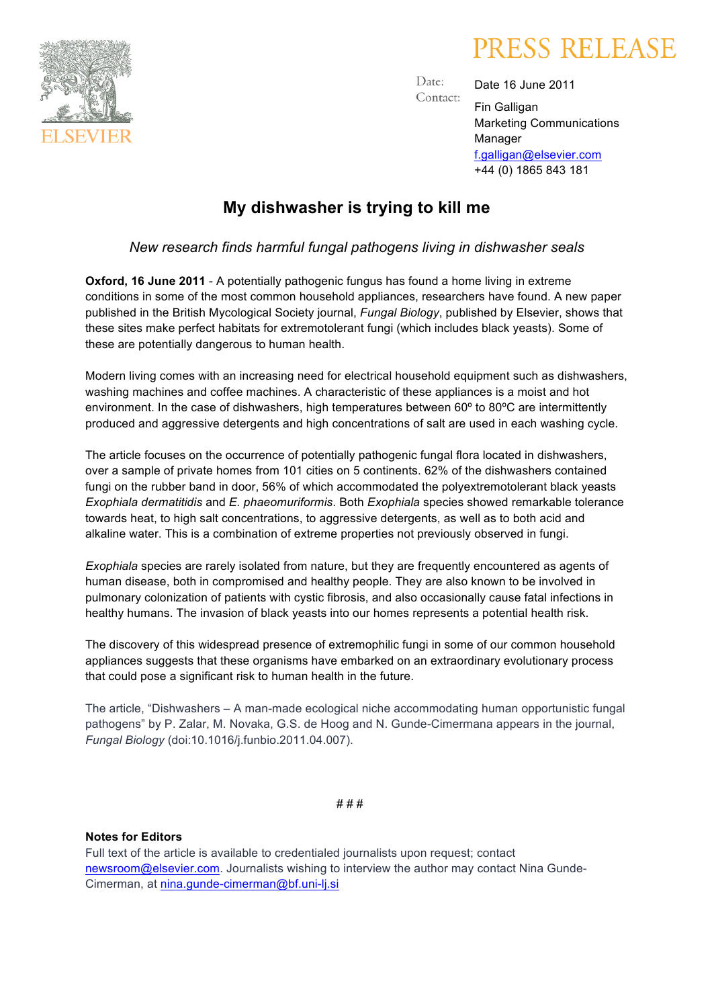

Date 16 June 2011 Contact: Fin Galligan Marketing Communications Manager f.galligan@elsevier.com +44 (0) 1865 843 181

# **My dishwasher is trying to kill me**

Date:

## *New research finds harmful fungal pathogens living in dishwasher seals*

**Oxford, 16 June 2011** - A potentially pathogenic fungus has found a home living in extreme conditions in some of the most common household appliances, researchers have found. A new paper published in the British Mycological Society journal, *Fungal Biology*, published by Elsevier, shows that these sites make perfect habitats for extremotolerant fungi (which includes black yeasts). Some of these are potentially dangerous to human health.

Modern living comes with an increasing need for electrical household equipment such as dishwashers, washing machines and coffee machines. A characteristic of these appliances is a moist and hot environment. In the case of dishwashers, high temperatures between 60º to 80ºC are intermittently produced and aggressive detergents and high concentrations of salt are used in each washing cycle.

The article focuses on the occurrence of potentially pathogenic fungal flora located in dishwashers, over a sample of private homes from 101 cities on 5 continents. 62% of the dishwashers contained fungi on the rubber band in door, 56% of which accommodated the polyextremotolerant black yeasts *Exophiala dermatitidis* and *E. phaeomuriformis*. Both *Exophiala* species showed remarkable tolerance towards heat, to high salt concentrations, to aggressive detergents, as well as to both acid and alkaline water. This is a combination of extreme properties not previously observed in fungi.

*Exophiala* species are rarely isolated from nature, but they are frequently encountered as agents of human disease, both in compromised and healthy people. They are also known to be involved in pulmonary colonization of patients with cystic fibrosis, and also occasionally cause fatal infections in healthy humans. The invasion of black yeasts into our homes represents a potential health risk.

The discovery of this widespread presence of extremophilic fungi in some of our common household appliances suggests that these organisms have embarked on an extraordinary evolutionary process that could pose a significant risk to human health in the future.

The article, "Dishwashers – A man-made ecological niche accommodating human opportunistic fungal pathogens" by P. Zalar, M. Novaka, G.S. de Hoog and N. Gunde-Cimermana appears in the journal, *Fungal Biology* (doi:10.1016/j.funbio.2011.04.007).

# # #

#### **Notes for Editors**

Full text of the article is available to credentialed journalists upon request; contact newsroom@elsevier.com. Journalists wishing to interview the author may contact Nina Gunde-Cimerman, at nina.gunde-cimerman@bf.uni-lj.si